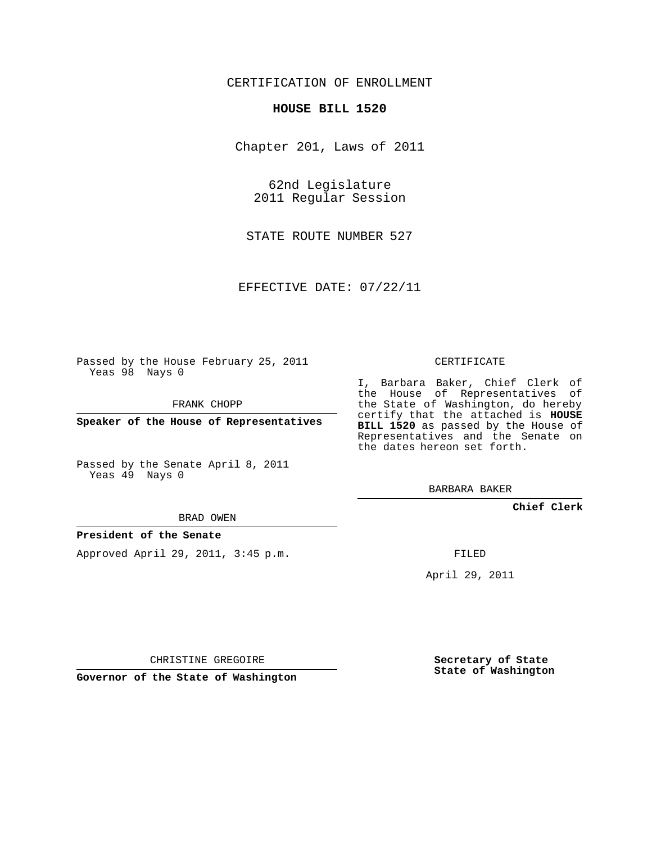### CERTIFICATION OF ENROLLMENT

#### **HOUSE BILL 1520**

Chapter 201, Laws of 2011

62nd Legislature 2011 Regular Session

STATE ROUTE NUMBER 527

EFFECTIVE DATE: 07/22/11

Passed by the House February 25, 2011 Yeas 98 Nays 0

FRANK CHOPP

**Speaker of the House of Representatives**

Passed by the Senate April 8, 2011 Yeas 49 Nays 0

#### BRAD OWEN

#### **President of the Senate**

Approved April 29, 2011, 3:45 p.m.

CERTIFICATE

I, Barbara Baker, Chief Clerk of the House of Representatives of the State of Washington, do hereby certify that the attached is **HOUSE BILL 1520** as passed by the House of Representatives and the Senate on the dates hereon set forth.

BARBARA BAKER

**Chief Clerk**

FILED

April 29, 2011

CHRISTINE GREGOIRE

**Governor of the State of Washington**

**Secretary of State State of Washington**